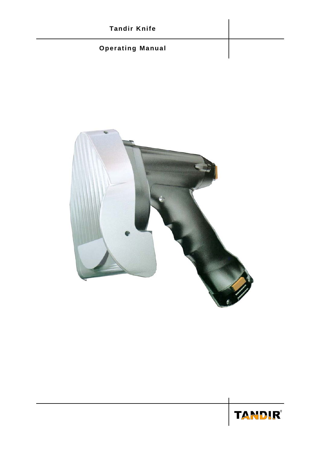# **Tandir Knife Operating Manual**



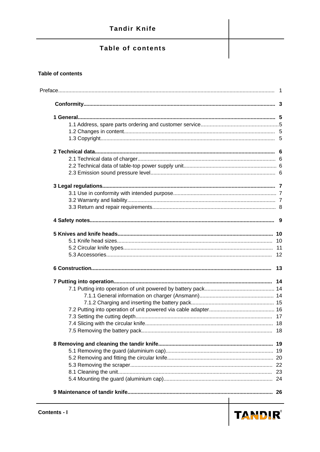## Table of contents

#### **Table of contents**

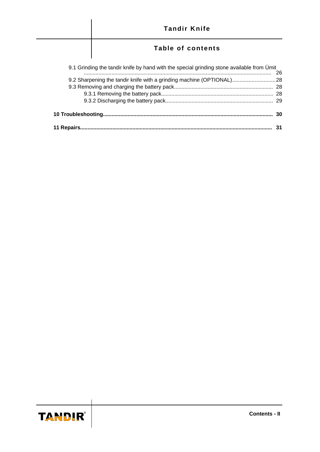

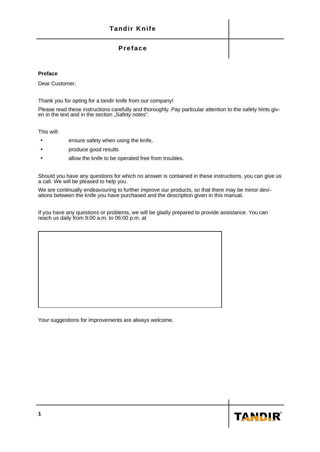## **Preface**

#### **Preface**

Dear Customer,

Thank you for opting for a tandir knife from our company!

Please read these instructions carefully and thoroughly. Pay particular attention to the safety hints given in the text and in the section "Safety notes".

This will:

- ensure safety when using the knife,
- produce good results
- allow the knife to be operated free from troubles.

Should you have any questions for which no answer is contained in these instructions, you can give us a call. We will be pleased to help you.

We are continually endeavouring to further improve our products, so that there may be minor deviations between the knife you have purchased and the description given in this manual.

If you have any questions or problems, we will be gladly prepared to provide assistance. You can reach us daily from 9:00 a.m. to 06:00 p.m. at

Your suggestions for improvements are always welcome.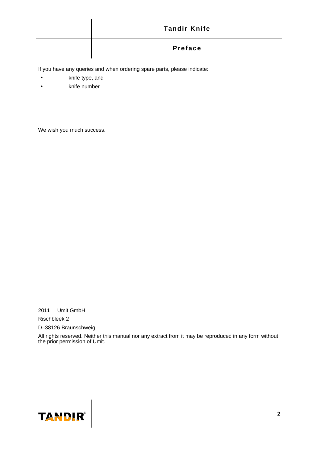| <b>Tandir Knife</b> |
|---------------------|
| Preface             |

If you have any queries and when ordering spare parts, please indicate:

- knife type, and
- knife number.

We wish you much success.

2011 Ümit GmbH Rischbleek 2 D–38126 Braunschweig

All rights reserved. Neither this manual nor any extract from it may be reproduced in any form without the prior permission of Ümit.

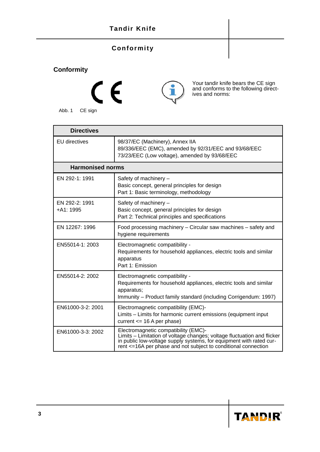## **Tandir Knife**

## **Conformity**

# **Conformity**





Your tandir knife bears the CE sign and conforms to the following directives and norms:

| <b>Directives</b>            |                                                                                                                                                                                                                                                     |
|------------------------------|-----------------------------------------------------------------------------------------------------------------------------------------------------------------------------------------------------------------------------------------------------|
| <b>EU</b> directives         | 98/37/EC (Machinery), Annex IIA<br>89/336/EEC (EMC), amended by 92/31/EEC and 93/68/EEC<br>73/23/EEC (Low voltage), amended by 93/68/EEC                                                                                                            |
| <b>Harmonised norms</b>      |                                                                                                                                                                                                                                                     |
| EN 292-1: 1991               | Safety of machinery -<br>Basic concept, general principles for design<br>Part 1: Basic terminology, methodology                                                                                                                                     |
| EN 292-2: 1991<br>$+A1:1995$ | Safety of machinery -<br>Basic concept, general principles for design<br>Part 2: Technical principles and specifications                                                                                                                            |
| EN 12267: 1996               | Food processing machinery - Circular saw machines - safety and<br>hygiene requirements                                                                                                                                                              |
| EN55014-1: 2003              | Electromagnetic compatibility -<br>Requirements for household appliances, electric tools and similar<br>apparatus<br>Part 1: Emission                                                                                                               |
| EN55014-2: 2002              | Electromagnetic compatibility -<br>Requirements for household appliances, electric tools and similar<br>apparatus;<br>Immunity - Product family standard (including Corrigendum: 1997)                                                              |
| EN61000-3-2: 2001            | Electromagnetic compatibility (EMC)-<br>Limits – Limits for harmonic current emissions (equipment input<br>current $<= 16$ A per phase)                                                                                                             |
| EN61000-3-3: 2002            | Electromagnetic compatibility (EMC)-<br>Limits – Limitation of voltage changes; voltage fluctuation and flicker<br>in public low-voltage supply systems, for equipment with rated current <=16A per phase and not subject to conditional connection |

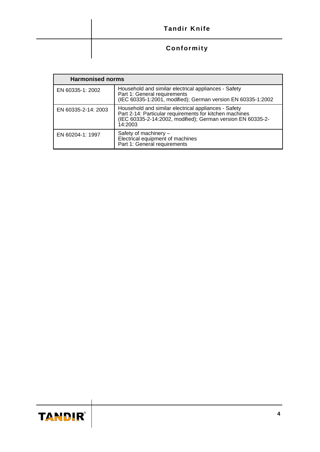| <b>Tandir Knife</b> |
|---------------------|
| Conformity          |

| <b>Harmonised norms</b> |                                                                                                                                                                                           |  |
|-------------------------|-------------------------------------------------------------------------------------------------------------------------------------------------------------------------------------------|--|
| EN 60335-1: 2002        | Household and similar electrical appliances - Safety<br>Part 1: General requirements<br>(IEC 60335-1:2001, modified); German version EN 60335-1:2002                                      |  |
| EN 60335-2-14: 2003     | Household and similar electrical appliances - Safety<br>Part 2-14: Particular requirements for kitchen machines<br>(IEC 60335-2-14:2002, modified); German version EN 60335-2-<br>14:2003 |  |
| EN 60204-1: 1997        | Safety of machinery -<br>Electrical equipment of machines<br>Part 1: General requirements                                                                                                 |  |

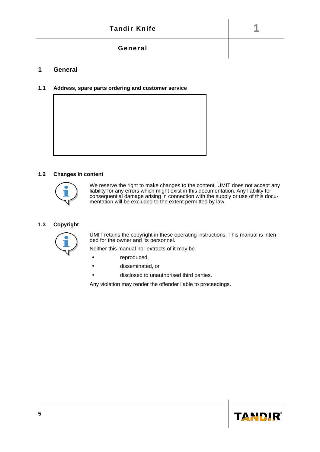## **General**

#### **1 General**

#### **1.1 Address, spare parts ordering and customer service**



#### **1.2 Changes in content**



We reserve the right to make changes to the content. ÜMIT does not accept any liability for any errors which might exist in this documentation. Any liability for consequential damage arising in connection with the supply or use of this documentation will be excluded to the extent permitted by law.

#### **1.3 Copyright**



ÜMIT retains the copyright in these operating instructions. This manual is intended for the owner and its personnel.

Neither this manual nor extracts of it may be

- reproduced,
- disseminated, or
- disclosed to unauthorised third parties.

Any violation may render the offender liable to proceedings.

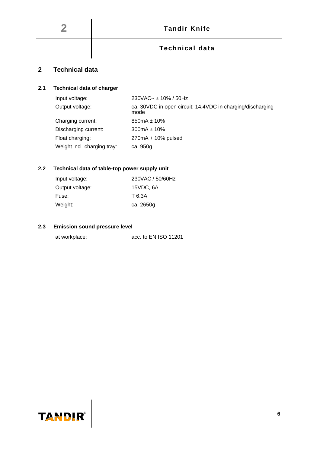## **Technical data**

# <span id="page-8-0"></span>**2 Technical data**

### **2.1 Technical data of charger**

| Input voltage:              | 230VAC~ ± 10% / 50Hz                                               |
|-----------------------------|--------------------------------------------------------------------|
| Output voltage:             | ca. 30VDC in open circuit; 14.4VDC in charging/discharging<br>mode |
| Charging current:           | $850mA \pm 10\%$                                                   |
| Discharging current:        | $300mA \pm 10\%$                                                   |
| Float charging:             | 270mA + 10% pulsed                                                 |
| Weight incl. charging tray: | ca. 950g                                                           |

## **2.2 Technical data of table-top power supply unit**

| Input voltage:  | 230VAC / 50/60Hz |
|-----------------|------------------|
| Output voltage: | 15VDC, 6A        |
| Fuse:           | T 6.3A           |
| Weight:         | ca. 2650g        |

#### **2.3 Emission sound pressure level**

| at workplace: | acc. to EN ISO 11201 |
|---------------|----------------------|
|---------------|----------------------|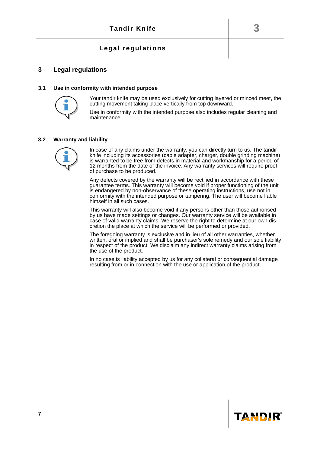## **Legal regulations**

#### <span id="page-9-0"></span>**3 Legal regulations**

#### **3.1 Use in conformity with intended purpose**



Your tandir knife may be used exclusively for cutting layered or minced meet, the cutting movement taking place vertically from top downward.

Use in conformity with the intended purpose also includes regular cleaning and maintenance.

#### **3.2 Warranty and liability**



In case of any claims under the warranty, you can directly turn to us. The tandir knife including its accessories (cable adapter, charger, double grinding machine) is warranted to be free from defects in material and workmanship for a period of 12 months from the date of the invoice. Any warranty services will require proof of purchase to be produced.

Any defects covered by the warranty will be rectified in accordance with these guarantee terms. This warranty will become void if proper functioning of the unit is endangered by non-observance of these operating instructions, use not in conformity with the intended purpose or tampering. The user will become liable himself in all such cases.

This warranty will also become void if any persons other than those authorised by us have made settings or changes. Our warranty service will be available in case of valid warranty claims. We reserve the right to determine at our own discretion the place at which the service will be performed or provided.

The foregoing warranty is exclusive and in lieu of all other warranties, whether written, oral or implied and shall be purchaser's sole remedy and our sole liability in respect of the product. We disclaim any indirect warranty claims arising from the use of the product.

In no case is liability accepted by us for any collateral or consequential damage resulting from or in connection with the use or application of the product.

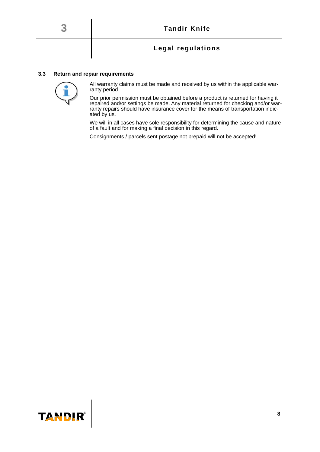## **Legal regulations**

#### **3.3 Return and repair requirements**



All warranty claims must be made and received by us within the applicable warranty period.

Our prior permission must be obtained before a product is returned for having it repaired and/or settings be made. Any material returned for checking and/or warranty repairs should have insurance cover for the means of transportation indicated by us.

We will in all cases have sole responsibility for determining the cause and nature of a fault and for making a final decision in this regard.

Consignments / parcels sent postage not prepaid will not be accepted!

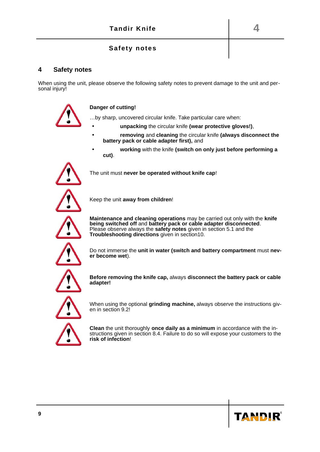## **Safety notes**

#### **4 Safety notes**

When using the unit, please observe the following safety notes to prevent damage to the unit and personal injury!

#### **Danger of cutting!**

…by sharp, uncovered circular knife. Take particular care when:

- **unpacking** the circular knife **(wear protective gloves!)**,
- **removing** and **cleaning** the circular knife **(always disconnect the battery pack or cable adapter first),** and
	- **working** with the knife **(switch on only just before performing a cut)**.



The unit must **never be operated without knife cap**!



Keep the unit **away from children**!



**Maintenance and cleaning operations** may be carried out only with the **knife being switched off** and **battery pack or cable adapter disconnected**. Please observe always the **safety notes** given in section 5.1 and the **Troubleshooting directions** given in section10.



Do not immerse the **unit in water (switch and battery compartment** must **never become wet**).



**Before removing the knife cap,** always **disconnect the battery pack or cable adapter!**



When using the optional **grinding machine,** always observe the instructions given in section 9.2!



**Clean** the unit thoroughly **once daily as a minimum** in accordance with the instructions given in section 8.4. Failure to do so will expose your customers to the **risk of infection**!

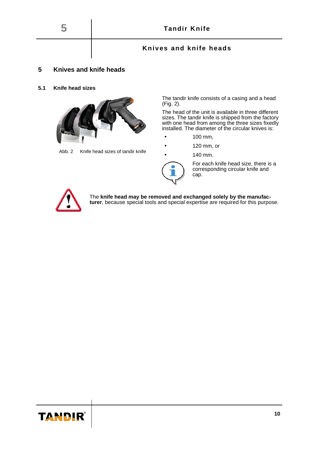

## **Knives and knife heads**

#### **5 Knives and knife heads**

#### **5.1 Knife head sizes**



Abb. 2 Knife head sizes of tandir knife

The tandir knife consists of a casing and a head (Fig. 2).

The head of the unit is available in three different sizes. The tandir knife is shipped from the factory with one head from among the three sizes fixedly installed. The diameter of the circular knives is:

- 100 mm,
- 120 mm, or
- 140 mm.



For each knife head size, there is a corresponding circular knife and cap.



The **knife head may be removed and exchanged solely by the manufacturer**, because special tools and special expertise are required for this purpose.

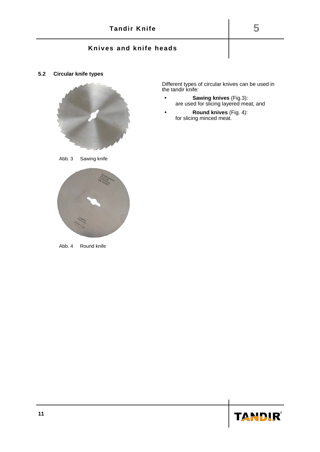## **Knives and knife heads**

**5.2 Circular knife types**



Abb. 3 Sawing knife



Abb. 4 Round knife

Different types of circular knives can be used in the tandir knife:

- **Sawing knives** (Fig.3): are used for slicing layered meat, and
- **Round knives** (Fig. 4): for slicing minced meat.

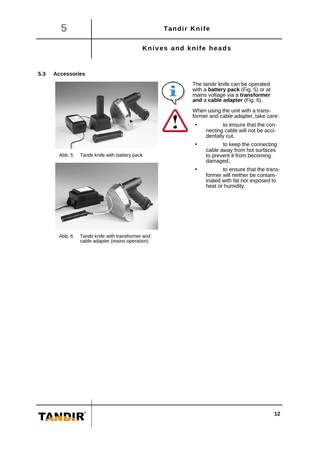## **Knives and knife heads**

#### **5.3 Accessories**



Abb. 5 Tandir knife with battery pack



Abb. 6 Tandir knife with transformer and cable adapter (mains operation)

The tandir knife can be operated with a **battery pack** (Fig. 5) or at mains voltage via a **transformer and** a **cable adapter** (Fig. 6).

When using the unit with a transformer and cable adapter, take care:

- to ensure that the connecting cable will not be accidentally cut,
- to keep the connecting cable away from hot surfaces to prevent it from becoming damaged,
- to ensure that the transformer will neither be contaminated with fat nor exposed to heat or humidity.

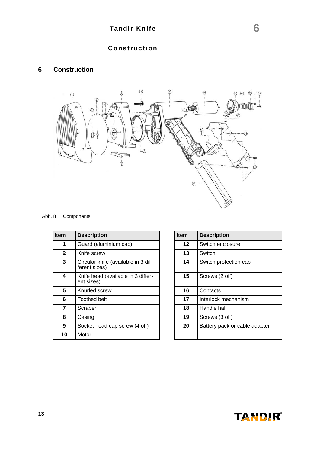# **Construction**

# **Construction**



| Abb. 8 | Components |
|--------|------------|
|--------|------------|

| <b>Item</b>  | <b>Description</b>                                   | <b>Item</b> | <b>Description</b>            |
|--------------|------------------------------------------------------|-------------|-------------------------------|
| 1            | Guard (aluminium cap)                                | $12 \,$     | Switch enclosure              |
| $\mathbf{2}$ | Knife screw                                          | 13          | Switch                        |
| 3            | Circular knife (available in 3 dif-<br>ferent sizes) | 14          | Switch protection cap         |
| 4            | Knife head (available in 3 differ-<br>ent sizes)     | 15          | Screws (2 off)                |
| 5            | Knurled screw                                        | 16          | Contacts                      |
| 6            | Toothed belt                                         | 17          | Interlock mechanism           |
| 7            | Scraper                                              | 18          | Handle half                   |
| 8            | Casing                                               | 19          | Screws (3 off)                |
| 9            | Socket head cap screw (4 off)                        | 20          | Battery pack or cable adapter |
| 10           | Motor                                                |             |                               |

| <b>Item</b> | <b>Description</b>            |
|-------------|-------------------------------|
| 12          | Switch enclosure              |
| 13          | Switch                        |
| 14          | Switch protection cap         |
| 15          | Screws (2 off)                |
| 16          | Contacts                      |
| 17          | Interlock mechanism           |
| 18          | Handle half                   |
| 19          | Screws (3 off)                |
| 20          | Battery pack or cable adapter |
|             |                               |

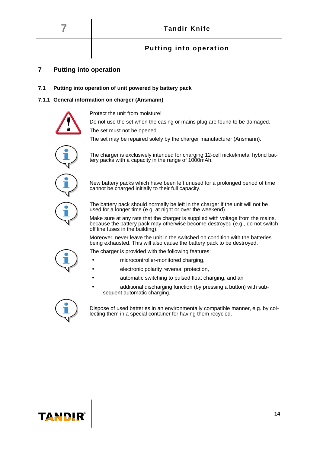## **Putting into operation**

## **7 Putting into operation**

#### <span id="page-16-0"></span>**7.1 Putting into operation of unit powered by battery pack**

#### **7.1.1 General information on charger (Ansmann)**



Protect the unit from moisture!

Do not use the set when the casing or mains plug are found to be damaged. The set must not be opened.





The charger is exclusively intended for charging 12-cell nickel/metal hybrid battery packs with a capacity in the range of 1000mAh.



New battery packs which have been left unused for a prolonged period of time cannot be charged initially to their full capacity.



The battery pack should normally be left in the charger if the unit will not be used for a longer time (e.g. at night or over the weekend).

Make sure at any rate that the charger is supplied with voltage from the mains, because the battery pack may otherwise become destroyed (e.g., do not switch off line fuses in the building).

Moreover, never leave the unit in the switched on condition with the batteries being exhausted. This will also cause the battery pack to be destroyed.

The charger is provided with the following features:

- microcontroller-monitored charging,
- electronic polarity reversal protection,
- automatic switching to pulsed float charging, and an
- additional discharging function (by pressing a button) with subsequent automatic charging.



Dispose of used batteries in an environmentally compatible manner, e.g. by collecting them in a special container for having them recycled.

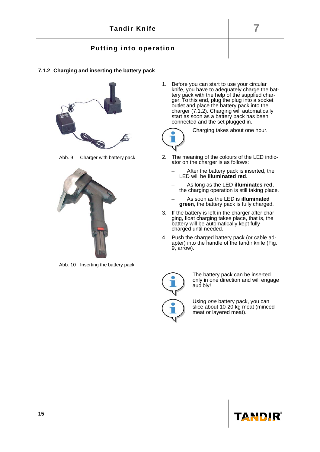## **Putting into operation**

#### **7.1.2 Charging and inserting the battery pack**



Abb. 9 Charger with battery pack

<span id="page-17-0"></span>

Abb. 10 Inserting the battery pack

1. Before you can start to use your circular knife, you have to adequately charge the battery pack with the help of the supplied charger. To this end, plug the plug into a socket outlet and place the battery pack into the charger [\(7.1.2\)](#page-17-0). Charging will automatically start as soon as a battery pack has been connected and the set plugged in.



Charging takes about one hour.

- 2. The meaning of the colours of the LED indicator on the charger is as follows:
	- After the battery pack is inserted, the LED will be **illuminated red**.
	- As long as the LED **illuminates red**, the charging operation is still taking place.
	- As soon as the LED is **illuminated green**, the battery pack is fully charged.
- 3. If the battery is left in the charger after charging, float charging takes place, that is, the battery will be automatically kept fully charged until needed.
- 4. Push the charged battery pack (or cable adapter) into the handle of the tandir knife (Fig. 9, arrow).



The battery pack can be inserted only in one direction and will engage audibly!

Using one battery pack, you can slice about 10-20 kg meat (minced meat or layered meat).

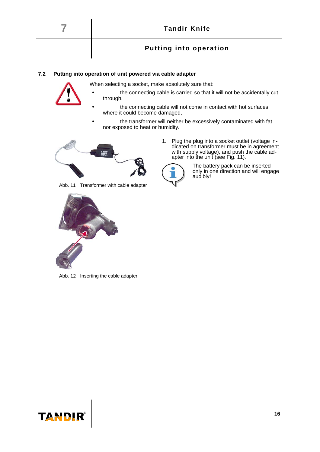



- the connecting cable is carried so that it will not be accidentally cut through,
- the connecting cable will not come in contact with hot surfaces where it could become damaged,
- the transformer will neither be excessively contaminated with fat nor exposed to heat or humidity.



Abb. 11 Transformer with cable adapter



Abb. 12 Inserting the cable adapter

dicated on transformer must be in agreement with supply voltage), and push the cable adapter into the unit (see Fig. 11). The battery pack can be inserted

1. Plug the plug into a socket outlet (voltage in-



only in one direction and will engage audibly!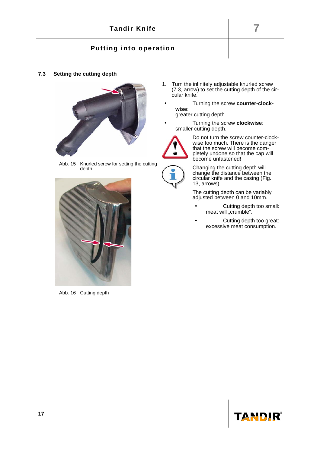## **Putting into operation**

**7.3 Setting the cutting depth**



Abb. 15 Knurled screw for setting the cutting depth

<span id="page-19-0"></span>

Abb. 16 Cutting depth

- 1. Turn the infinitely adjustable knurled screw [\(7.3,](#page-19-0) arrow) to set the cutting depth of the circular knife.
- Turning the screw **counter-clockwise**:
	- greater cutting depth.
- Turning the screw **clockwise**: smaller cutting depth.



Do not turn the screw counter-clockwise too much. There is the danger that the screw will become completely undone so that the cap will become unfastened!



Changing the cutting depth will change the distance between the circular knife and the casing (Fig. 13, arrows).

The cutting depth can be variably adjusted between 0 and 10mm.

- Cutting depth too small: meat will "crumble".
- Cutting depth too great: excessive meat consumption.

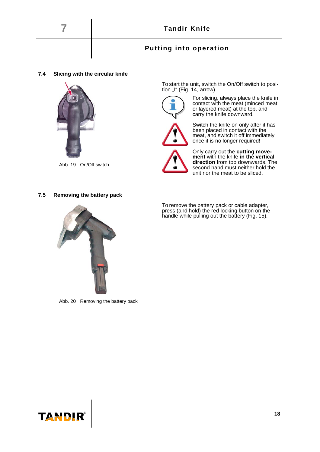## **Putting into operation**

#### **7.4 Slicing with the circular knife**



Abb. 19 On/Off switch

To start the unit, switch the On/Off switch to position "I" (Fig. 14,  $arrow$ ).



For slicing, always place the knife in contact with the meat (minced meat or layered meat) at the top, and carry the knife downward.



Switch the knife on only after it has been placed in contact with the meat, and switch it off immediately once it is no longer required!



Only carry out the **cutting movement** with the knife **in the vertical direction** from top downwards. The second hand must neither hold the unit nor the meat to be sliced.

#### **7.5 Removing the battery pack**



Abb. 20 Removing the battery pack

To remove the battery pack or cable adapter, press (and hold) the red locking button on the handle while pulling out the battery (Fig. 15).

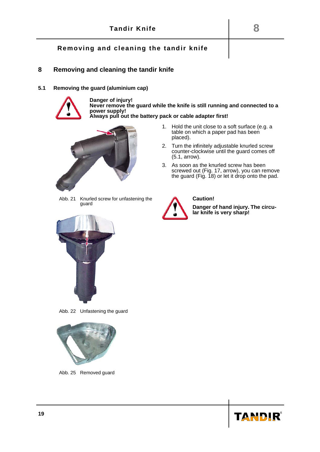## **8 Removing and cleaning the tandir knife**

**5.1 Removing the guard (aluminium cap)**

<span id="page-21-1"></span>

**Danger of injury! Never remove the guard while the knife is still running and connected to a power supply! Always pull out the battery pack or cable adapter first!**



placed). 2. Turn the infinitely adjustable knurled screw counter-clockwise until the guard comes off [\(5.1,](#page-21-0) arrow).

1. Hold the unit close to a soft surface (e.g. a table on which a paper pad has been

3. As soon as the knurled screw has been screwed out (Fig. 17, arrow), you can remove the guard (Fig. 18) or let it drop onto the pad.

<span id="page-21-0"></span>Abb. 21 Knurled screw for unfastening the guard



Abb. 22 Unfastening the guard



Abb. 25 Removed guard



#### **Caution!**

**Danger of hand injury. The circular knife is very sharp!**

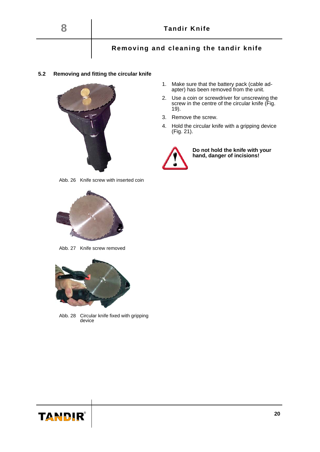#### **5.2 Removing and fitting the circular knife**

<span id="page-22-0"></span>

Abb. 26 Knife screw with inserted coin



Abb. 27 Knife screw removed



Abb. 28 Circular knife fixed with gripping device

TANDIR

- 1. Make sure that the battery pack (cable adapter) has been removed from the unit.
- 2. Use a coin or screwdriver for unscrewing the screw in the centre of the circular knife (Fig. 19).
- 3. Remove the screw.
- 4. Hold the circular knife with a gripping device (Fig. 21).



**Do not hold the knife with your hand, danger of incisions!**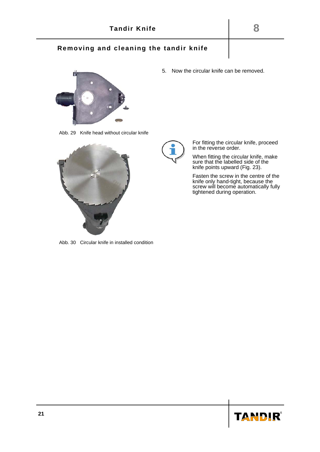

Abb. 29 Knife head without circular knife



For fitting the circular knife, proceed in the reverse order.

5. Now the circular knife can be removed.

When fitting the circular knife, make sure that the labelled side of the knife points upward (Fig. 23).

Fasten the screw in the centre of the knife only hand-tight, because the screw will become automatically fully tightened during operation.

Abb. 30 Circular knife in installed condition

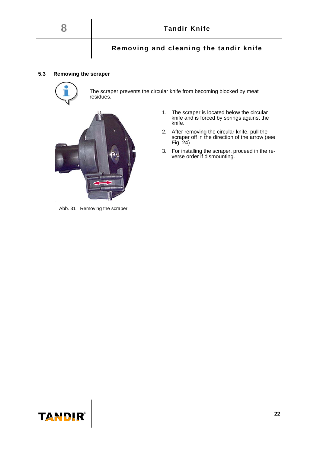#### **5.3 Removing the scraper**



The scraper prevents the circular knife from becoming blocked by meat residues.



- 1. The scraper is located below the circular knife and is forced by springs against the knife.
- 2. After removing the circular knife, pull the scraper off in the direction of the arrow (see Fig. 24).
- 3. For installing the scraper, proceed in the reverse order if dismounting.

Abb. 31 Removing the scraper

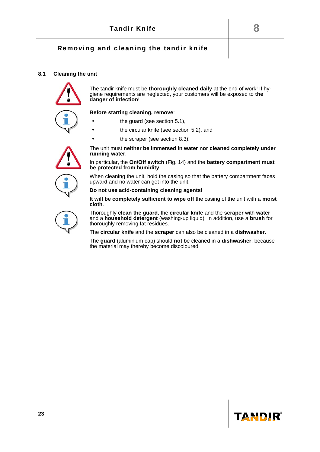#### **8.1 Cleaning the unit**



The tandir knife must be **thoroughly cleaned daily** at the end of work! If hygiene requirements are neglected, your customers will be exposed to **the danger of infection**!



**Before starting cleaning, remove**:

- the guard (see section [5.1\)](#page-21-1),
- **the circular knife (see section [5.2\)](#page-22-0), and**
- the scraper (see section 8.3)!

**running water**.



In particular, the **On/Off switch** (Fig. 14) and the **battery compartment must be protected from humidity**.

The unit must **neither be immersed in water nor cleaned completely under**

When cleaning the unit, hold the casing so that the battery compartment faces upward and no water can get into the unit.

**Do not use acid-containing cleaning agents!**

**It will be completely sufficient to wipe off** the casing of the unit with a **moist cloth**.

Thoroughly **clean the guard**, the **circular knife** and the **scraper** with **water** and a **household detergent** (washing-up liquid)! In addition, use a **brush** for thoroughly removing fat residues.

The **circular knife** and the **scraper** can also be cleaned in a **dishwasher**.

The **guard** (aluminium cap) should **not** be cleaned in a **dishwasher**, because the material may thereby become discoloured.

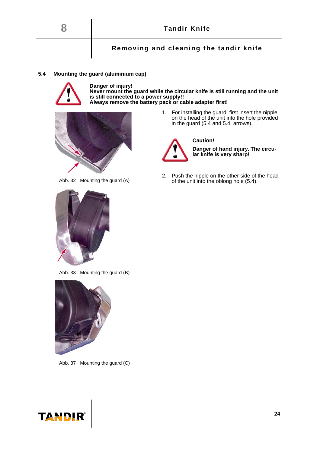

#### **5.4 Mounting the guard (aluminium cap)**



**Danger of injury! Never mount the guard while the circular knife is still running and the unit is still connected to a power supply!! Always remove the battery pack or cable adapter first!**



Abb. 32 Mounting the guard (A)

1. For installing the guard, first insert the nipple on the head of the unit into the hole provided in the guard [\(5.4](#page-26-2) and [5.4,](#page-26-1) arrows).

**Caution!**



**Danger of hand injury. The circular knife is very sharp!**

2. Push the nipple on the other side of the head of the unit into the oblong hole [\(5.4\)](#page-26-0).

<span id="page-26-2"></span>

Abb. 33 Mounting the guard (B)

<span id="page-26-1"></span>

Abb. 37 Mounting the guard (C)

<span id="page-26-0"></span>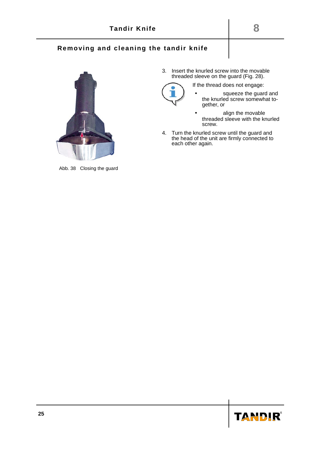

Abb. 38 Closing the guard

3. Insert the knurled screw into the movable threaded sleeve on the guard (Fig. 28).

If the thread does not engage:



- squeeze the guard and the knurled screw somewhat together, or
- align the movable threaded sleeve with the knurled screw.
- 4. Turn the knurled screw until the guard and the head of the unit are firmly connected to each other again.

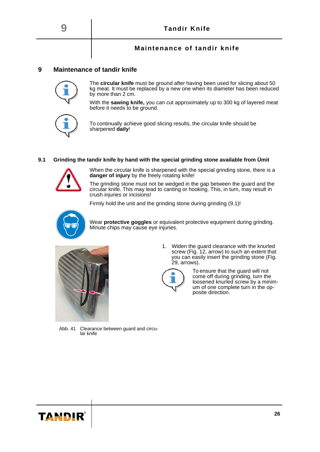## **Maintenance of tandir knife**

#### **9 Maintenance of tandir knife**



The **circular knife** must be ground after having been used for slicing about 50 kg meat. It must be replaced by a new one when its diameter has been reduced by more than 2 cm.

With the **sawing knife,** you can cut approximately up to 300 kg of layered meat

To continually achieve good slicing results, the circular knife should be sharpened **daily**!

#### **9.1 Grinding the tandir knife by hand with the special grinding stone available from Ümit**

before it needs to be ground.



When the circular knife is sharpened with the special grinding stone, there is a **danger of injury** by the freely rotating knife!

The grinding stone must not be wedged in the gap between the guard and the circular knife. This may lead to canting or hooking. This, in turn, may result in crush injuries or incisions!

Firmly hold the unit and the grinding stone during grinding [\(9.1\)](#page-29-0)!



Wear **protective goggles** or equivalent protective equipment during grinding. Minute chips may cause eye injuries.



1. Widen the guard clearance with the knurled screw (Fig. 12, arrow) to such an extent that you can easily insert the grinding stone (Fig. 29, arrows).



To ensure that the guard will not come off during grinding, turn the loosened knurled screw by a minimum of one complete turn in the opposite direction.

Abb. 41 Clearance between guard and circular knife

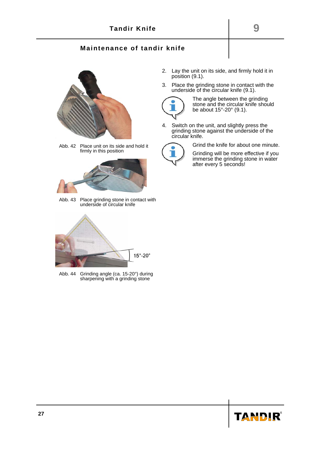## **Maintenance of tandir knife**



Abb. 42 Place unit on its side and hold it firmly in this position

<span id="page-29-0"></span>

Abb. 43 Place grinding stone in contact with underside of circular knife

<span id="page-29-2"></span><span id="page-29-1"></span>

Abb. 44 Grinding angle (ca. 15-20°) during sharpening with a grinding stone

- 2. Lay the unit on its side, and firmly hold it in position [\(9.1\)](#page-29-0).
- 3. Place the grinding stone in contact with the underside of the circular knife [\(9.1\)](#page-29-2).



The angle between the grinding stone and the circular knife should be about 15°-20° [\(9.1\)](#page-29-1).

4. Switch on the unit, and slightly press the grinding stone against the underside of the circular knife.



Grind the knife for about one minute.

Grinding will be more effective if you immerse the grinding stone in water after every 5 seconds!

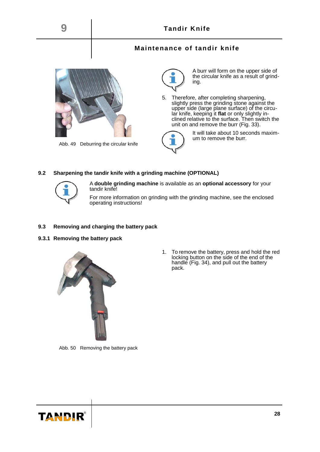



A **double grinding machine** is available as an **optional accessory** for your tandir knife!

For more information on grinding with the grinding machine, see the enclosed operating instructions!

#### **9.3 Removing and charging the battery pack**

**9.3.1 Removing the battery pack**



1. To remove the battery, press and hold the red locking button on the side of the end of the handle (Fig. 34), and pull out the battery pack.

Abb. 50 Removing the battery pack

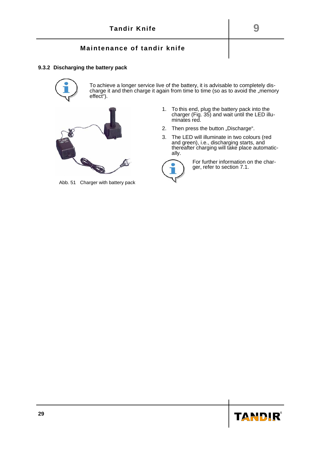#### **Maintenance of tandir knife**

#### **9.3.2 Discharging the battery pack**



To achieve a longer service live of the battery, it is advisable to completely discharge it and then charge it again from time to time (so as to avoid the "memory effect").



Abb. 51 Charger with battery pack

- 1. To this end, plug the battery pack into the charger (Fig. 35) and wait until the LED illuminates red.
- 2. Then press the button "Discharge".
- 3. The LED will illuminate in two colours (red and green), i.e., discharging starts, and thereafter charging will take place automatically.



For further information on the charger, refer to section [7.1.](#page-16-0)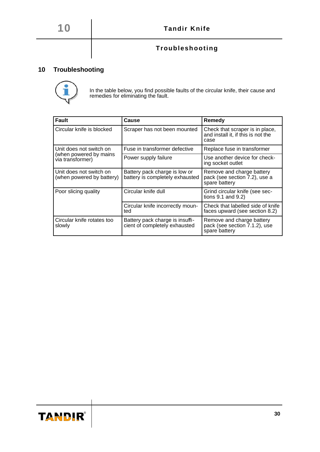# **Troubleshooting**

# **10 Troubleshooting**



In the table below, you find possible faults of the circular knife, their cause and remedies for eliminating the fault.

| <b>Fault</b>                                         | Cause                                                            | Remedy                                                                        |
|------------------------------------------------------|------------------------------------------------------------------|-------------------------------------------------------------------------------|
| Circular knife is blocked                            | Scraper has not been mounted                                     | Check that scraper is in place,<br>and install it, if this is not the<br>case |
| Unit does not switch on                              | Fuse in transformer defective                                    | Replace fuse in transformer                                                   |
| (when powered by mains<br>via transformer)           | Power supply failure                                             | Use another device for check-<br>ing socket outlet                            |
| Unit does not switch on<br>(when powered by battery) | Battery pack charge is low or<br>battery is completely exhausted | Remove and charge battery<br>pack (see section 7.2), use a<br>spare battery   |
| Poor slicing quality                                 | Circular knife dull                                              | Grind circular knife (see sec-<br>tions 9.1 and 9.2)                          |
|                                                      | Circular knife incorrectly moun-<br>ted                          | Check that labelled side of knife<br>faces upward (see section 8.2)           |
| Circular knife rotates too<br>slowly                 | Battery pack charge is insuffi-<br>cient of completely exhausted | Remove and charge battery<br>pack (see section 7.1.2), use<br>spare battery   |